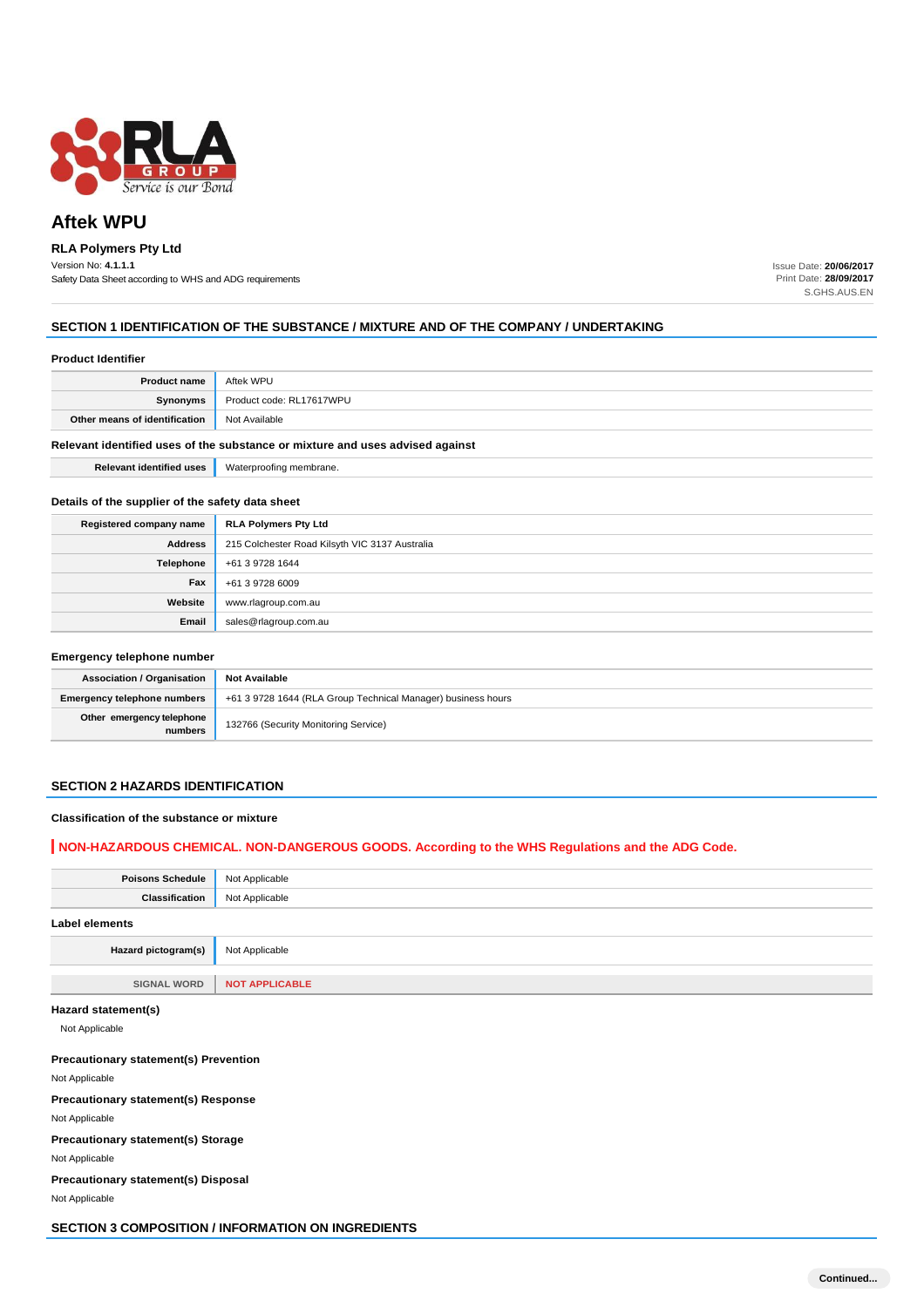

# **Aftek WPU**

# **RLA Polymers Pty Ltd**

Version No: **4.1.1.1** Safety Data Sheet according to WHS and ADG requirements Issue Date: **20/06/2017** Print Date: **28/09/2017** S.GHS.AUS.EN

### **SECTION 1 IDENTIFICATION OF THE SUBSTANCE / MIXTURE AND OF THE COMPANY / UNDERTAKING**

#### **Product Identifier**

| <b>Product name</b>                                                           | Aftek WPU                |
|-------------------------------------------------------------------------------|--------------------------|
| Synonyms                                                                      | Product code: RL17617WPU |
| Other means of identification                                                 | Not Available            |
| Relevant identified uses of the substance or mixture and uses advised against |                          |
| <b>Relevant identified uses</b>                                               | Waterproofing membrane.  |

### **Details of the supplier of the safety data sheet**

| Registered company name | <b>RLA Polymers Pty Ltd</b>                    |
|-------------------------|------------------------------------------------|
| <b>Address</b>          | 215 Colchester Road Kilsyth VIC 3137 Australia |
| Telephone               | +61 3 9728 1644                                |
| Fax                     | +61 3 9728 6009                                |
| Website                 | www.rlagroup.com.au                            |
| Email                   | sales@rlagroup.com.au                          |

#### **Emergency telephone number**

| <b>Association / Organisation</b>    | <b>Not Available</b>                                         |
|--------------------------------------|--------------------------------------------------------------|
| <b>Emergency telephone numbers</b>   | +61 3 9728 1644 (RLA Group Technical Manager) business hours |
| Other emergency telephone<br>numbers | 132766 (Security Monitoring Service)                         |

### **SECTION 2 HAZARDS IDENTIFICATION**

#### **Classification of the substance or mixture**

## **NON-HAZARDOUS CHEMICAL. NON-DANGEROUS GOODS. According to the WHS Regulations and the ADG Code.**

| <b>Poisons Schedule</b> | Not Applicable        |
|-------------------------|-----------------------|
| Classification          | Not Applicable        |
| Label elements          |                       |
| Hazard pictogram(s)     | Not Applicable        |
|                         |                       |
| <b>SIGNAL WORD</b>      | <b>NOT APPLICABLE</b> |

### **Hazard statement(s)**

Not Applicable

### **Precautionary statement(s) Prevention**

Not Applicable

**Precautionary statement(s) Response**

Not Applicable

**Precautionary statement(s) Storage**

Not Applicable

**Precautionary statement(s) Disposal**

Not Applicable

**SECTION 3 COMPOSITION / INFORMATION ON INGREDIENTS**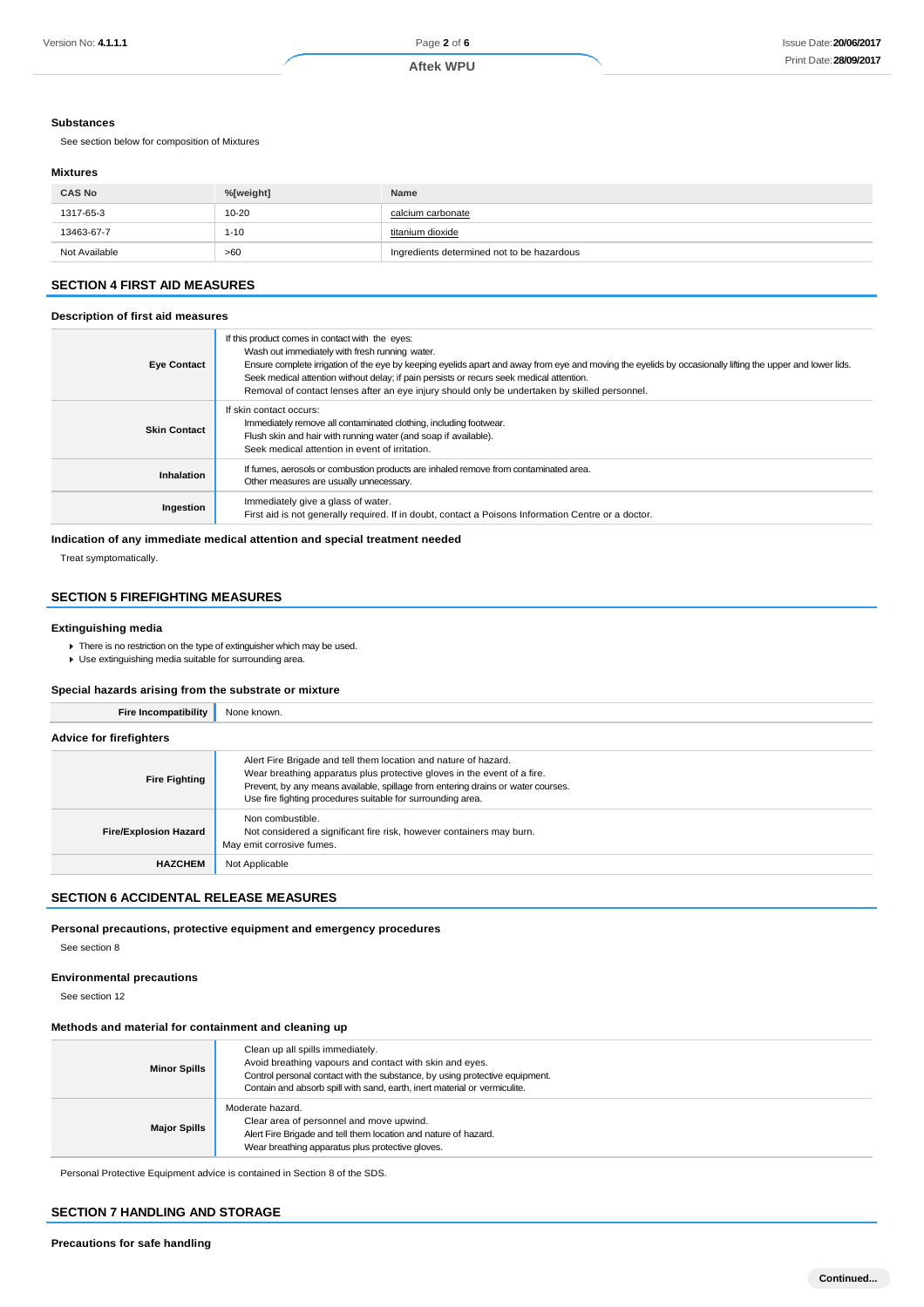#### **Substances**

See section below for composition of Mixtures

#### **Mixtures**

| <b>CAS No</b> | %[weight] | Name                                       |
|---------------|-----------|--------------------------------------------|
| 1317-65-3     | $10 - 20$ | calcium carbonate                          |
| 13463-67-7    | $1 - 10$  | titanium dioxide                           |
| Not Available | >60       | Ingredients determined not to be hazardous |

# **SECTION 4 FIRST AID MEASURES**

### **Description of first aid measures**

| <b>Eye Contact</b>  | If this product comes in contact with the eyes:<br>Wash out immediately with fresh running water.<br>Ensure complete irrigation of the eye by keeping eyelids apart and away from eye and moving the eyelids by occasionally lifting the upper and lower lids.<br>Seek medical attention without delay; if pain persists or recurs seek medical attention.<br>Removal of contact lenses after an eye injury should only be undertaken by skilled personnel. |
|---------------------|-------------------------------------------------------------------------------------------------------------------------------------------------------------------------------------------------------------------------------------------------------------------------------------------------------------------------------------------------------------------------------------------------------------------------------------------------------------|
| <b>Skin Contact</b> | If skin contact occurs:<br>Immediately remove all contaminated clothing, including footwear.<br>Flush skin and hair with running water (and soap if available).<br>Seek medical attention in event of irritation.                                                                                                                                                                                                                                           |
| <b>Inhalation</b>   | If fumes, aerosols or combustion products are inhaled remove from contaminated area.<br>Other measures are usually unnecessary.                                                                                                                                                                                                                                                                                                                             |
| Ingestion           | Immediately give a glass of water.<br>First aid is not generally required. If in doubt, contact a Poisons Information Centre or a doctor.                                                                                                                                                                                                                                                                                                                   |

#### **Indication of any immediate medical attention and special treatment needed**

Treat symptomatically.

## **SECTION 5 FIREFIGHTING MEASURES**

### **Extinguishing media**

- **There is no restriction on the type of extinguisher which may be used.**
- Use extinguishing media suitable for surrounding area.

### **Special hazards arising from the substrate or mixture**

| <b>Fire Incompatibility</b>    | None known.                                                                                                                                                                                                                                                                                   |
|--------------------------------|-----------------------------------------------------------------------------------------------------------------------------------------------------------------------------------------------------------------------------------------------------------------------------------------------|
| <b>Advice for firefighters</b> |                                                                                                                                                                                                                                                                                               |
| <b>Fire Fighting</b>           | Alert Fire Brigade and tell them location and nature of hazard.<br>Wear breathing apparatus plus protective gloves in the event of a fire.<br>Prevent, by any means available, spillage from entering drains or water courses.<br>Use fire fighting procedures suitable for surrounding area. |
| <b>Fire/Explosion Hazard</b>   | Non combustible.<br>Not considered a significant fire risk, however containers may burn.<br>May emit corrosive fumes.                                                                                                                                                                         |
| <b>HAZCHEM</b>                 | Not Applicable                                                                                                                                                                                                                                                                                |

### **SECTION 6 ACCIDENTAL RELEASE MEASURES**

**Personal precautions, protective equipment and emergency procedures**

See section 8

#### **Environmental precautions**

See section 12

### **Methods and material for containment and cleaning up**

| <b>Minor Spills</b> | Clean up all spills immediately.<br>Avoid breathing vapours and contact with skin and eyes.<br>Control personal contact with the substance, by using protective equipment.<br>Contain and absorb spill with sand, earth, inert material or vermiculite. |
|---------------------|---------------------------------------------------------------------------------------------------------------------------------------------------------------------------------------------------------------------------------------------------------|
| <b>Major Spills</b> | Moderate hazard.<br>Clear area of personnel and move upwind.<br>Alert Fire Brigade and tell them location and nature of hazard.<br>Wear breathing apparatus plus protective gloves.                                                                     |

Personal Protective Equipment advice is contained in Section 8 of the SDS.

#### **SECTION 7 HANDLING AND STORAGE**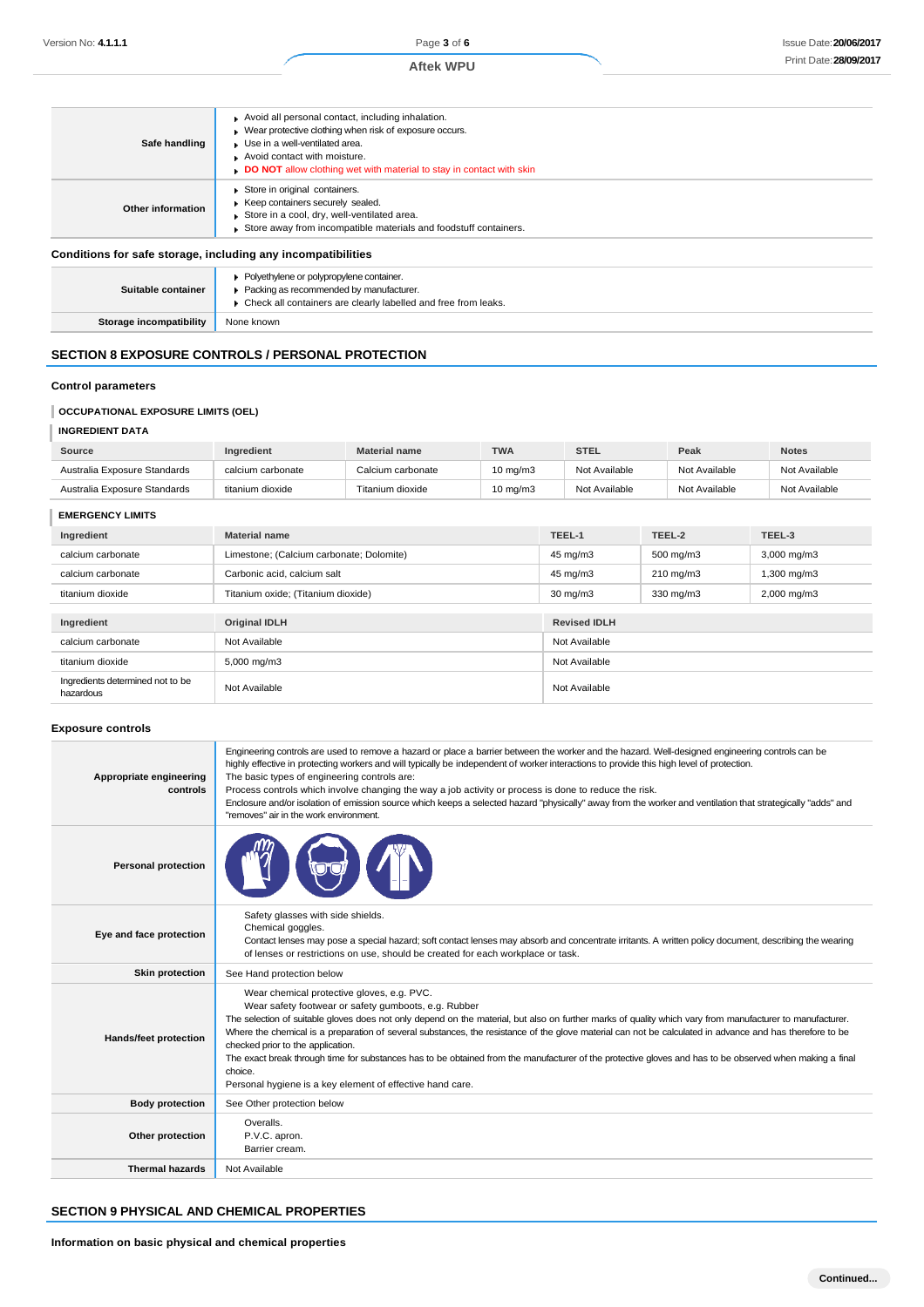| Safe handling                                                | Avoid all personal contact, including inhalation.<br>$\triangleright$ Wear protective clothing when risk of exposure occurs.<br>Use in a well-ventilated area.<br>Avoid contact with moisture.<br><b>DO NOT</b> allow clothing wet with material to stay in contact with skin |
|--------------------------------------------------------------|-------------------------------------------------------------------------------------------------------------------------------------------------------------------------------------------------------------------------------------------------------------------------------|
| Other information                                            | Store in original containers.<br>Keep containers securely sealed.<br>Store in a cool, dry, well-ventilated area.<br>Store away from incompatible materials and foodstuff containers.                                                                                          |
| Conditions for safe storage, including any incompatibilities |                                                                                                                                                                                                                                                                               |

#### **Suitable container Polyethylene or polypropylene container.** Packing as recommended by manufacturer. ▶ Check all containers are clearly labelled and free from leaks. **Storage incompatibility** None known

# **SECTION 8 EXPOSURE CONTROLS / PERSONAL PROTECTION**

### **Control parameters**

### **OCCUPATIONAL EXPOSURE LIMITS (OEL)**

### **INGREDIENT DATA**

| Source                       | Ingredient        | <b>Material name</b> | <b>TWA</b>        | <b>STEL</b>   | Peak          | <b>Notes</b>  |
|------------------------------|-------------------|----------------------|-------------------|---------------|---------------|---------------|
| Australia Exposure Standards | calcium carbonate | Calcium carbonate    | $10 \text{ mg/m}$ | Not Available | Not Available | Not Available |
| Australia Exposure Standards | titanium dioxide  | Titanium dioxide     | $10 \text{ mg/m}$ | Not Available | Not Available | Not Available |

#### **EMERGENCY LIMITS**

| Ingredient                                    | <b>Material name</b>                                 | TEEL-1              | TEEL-2    | TEEL-3           |
|-----------------------------------------------|------------------------------------------------------|---------------------|-----------|------------------|
| calcium carbonate                             | Limestone; (Calcium carbonate; Dolomite)<br>45 mg/m3 |                     | 500 mg/m3 | $3,000$ mg/m $3$ |
| calcium carbonate                             | Carbonic acid, calcium salt                          | 45 mg/m3            | 210 mg/m3 | 1,300 mg/m3      |
| titanium dioxide                              | Titanium oxide; (Titanium dioxide)                   | $30 \text{ mg/m}$   | 330 mg/m3 | 2,000 mg/m3      |
|                                               |                                                      |                     |           |                  |
| Ingredient                                    | <b>Original IDLH</b>                                 | <b>Revised IDLH</b> |           |                  |
| calcium carbonate                             | Not Available                                        | Not Available       |           |                  |
| titanium dioxide                              | 5,000 mg/m3                                          | Not Available       |           |                  |
| Ingredients determined not to be<br>hazardous | Not Available                                        | Not Available       |           |                  |

### **Exposure controls**

| Appropriate engineering<br>controls | Engineering controls are used to remove a hazard or place a barrier between the worker and the hazard. Well-designed engineering controls can be<br>highly effective in protecting workers and will typically be independent of worker interactions to provide this high level of protection.<br>The basic types of engineering controls are:<br>Process controls which involve changing the way a job activity or process is done to reduce the risk.<br>Enclosure and/or isolation of emission source which keeps a selected hazard "physically" away from the worker and ventilation that strategically "adds" and<br>"removes" air in the work environment.                                      |
|-------------------------------------|------------------------------------------------------------------------------------------------------------------------------------------------------------------------------------------------------------------------------------------------------------------------------------------------------------------------------------------------------------------------------------------------------------------------------------------------------------------------------------------------------------------------------------------------------------------------------------------------------------------------------------------------------------------------------------------------------|
| <b>Personal protection</b>          |                                                                                                                                                                                                                                                                                                                                                                                                                                                                                                                                                                                                                                                                                                      |
| Eye and face protection             | Safety glasses with side shields.<br>Chemical goggles.<br>Contact lenses may pose a special hazard; soft contact lenses may absorb and concentrate irritants. A written policy document, describing the wearing<br>of lenses or restrictions on use, should be created for each workplace or task.                                                                                                                                                                                                                                                                                                                                                                                                   |
| <b>Skin protection</b>              | See Hand protection below                                                                                                                                                                                                                                                                                                                                                                                                                                                                                                                                                                                                                                                                            |
| <b>Hands/feet protection</b>        | Wear chemical protective gloves, e.g. PVC.<br>Wear safety footwear or safety gumboots, e.g. Rubber<br>The selection of suitable gloves does not only depend on the material, but also on further marks of quality which vary from manufacturer to manufacturer.<br>Where the chemical is a preparation of several substances, the resistance of the glove material can not be calculated in advance and has therefore to be<br>checked prior to the application.<br>The exact break through time for substances has to be obtained from the manufacturer of the protective gloves and has to be observed when making a final<br>choice.<br>Personal hygiene is a key element of effective hand care. |
| <b>Body protection</b>              | See Other protection below                                                                                                                                                                                                                                                                                                                                                                                                                                                                                                                                                                                                                                                                           |
| Other protection                    | Overalls.<br>P.V.C. apron.<br>Barrier cream.                                                                                                                                                                                                                                                                                                                                                                                                                                                                                                                                                                                                                                                         |
| <b>Thermal hazards</b>              | Not Available                                                                                                                                                                                                                                                                                                                                                                                                                                                                                                                                                                                                                                                                                        |

### **SECTION 9 PHYSICAL AND CHEMICAL PROPERTIES**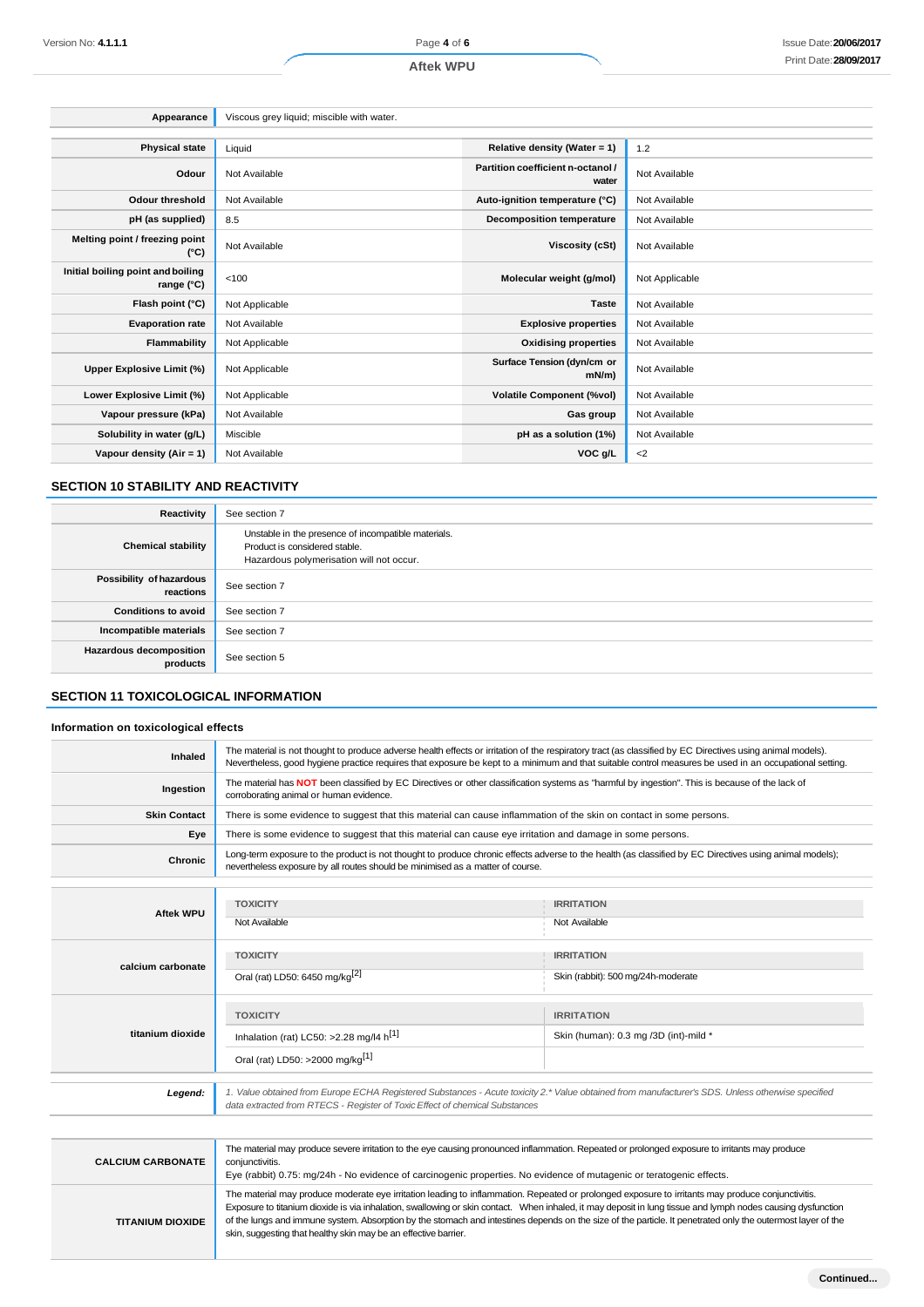### **Aftek WPU**

| Appearance                                      | Viscous grey liquid; miscible with water. |                                            |                |
|-------------------------------------------------|-------------------------------------------|--------------------------------------------|----------------|
|                                                 |                                           |                                            |                |
| <b>Physical state</b>                           | Liquid                                    | Relative density (Water = 1)               | 1.2            |
| Odour                                           | Not Available                             | Partition coefficient n-octanol /<br>water | Not Available  |
| <b>Odour threshold</b>                          | Not Available                             | Auto-ignition temperature (°C)             | Not Available  |
| pH (as supplied)                                | 8.5                                       | <b>Decomposition temperature</b>           | Not Available  |
| Melting point / freezing point<br>(°C)          | Not Available                             | Viscosity (cSt)                            | Not Available  |
| Initial boiling point and boiling<br>range (°C) | < 100                                     | Molecular weight (g/mol)                   | Not Applicable |
| Flash point (°C)                                | Not Applicable                            | <b>Taste</b>                               | Not Available  |
| <b>Evaporation rate</b>                         | Not Available                             | <b>Explosive properties</b>                | Not Available  |
| Flammability                                    | Not Applicable                            | <b>Oxidising properties</b>                | Not Available  |
| Upper Explosive Limit (%)                       | Not Applicable                            | Surface Tension (dyn/cm or<br>$mN/m$ )     | Not Available  |
| Lower Explosive Limit (%)                       | Not Applicable                            | <b>Volatile Component (%vol)</b>           | Not Available  |
| Vapour pressure (kPa)                           | Not Available                             | Gas group                                  | Not Available  |
| Solubility in water (g/L)                       | Miscible                                  | pH as a solution (1%)                      | Not Available  |
| Vapour density (Air = 1)                        | Not Available                             | VOC g/L                                    | $<$ 2          |

# **SECTION 10 STABILITY AND REACTIVITY**

| Reactivity                                 | See section 7                                                                                                                    |
|--------------------------------------------|----------------------------------------------------------------------------------------------------------------------------------|
| <b>Chemical stability</b>                  | Unstable in the presence of incompatible materials.<br>Product is considered stable.<br>Hazardous polymerisation will not occur. |
| Possibility of hazardous<br>reactions      | See section 7                                                                                                                    |
| <b>Conditions to avoid</b>                 | See section 7                                                                                                                    |
| Incompatible materials                     | See section 7                                                                                                                    |
| <b>Hazardous decomposition</b><br>products | See section 5                                                                                                                    |

# **SECTION 11 TOXICOLOGICAL INFORMATION**

### **Information on toxicological effects**

| Inhaled             | The material is not thought to produce adverse health effects or irritation of the respiratory tract (as classified by EC Directives using animal models).<br>Nevertheless, good hygiene practice requires that exposure be kept to a minimum and that suitable control measures be used in an occupational setting. |                                                            |  |
|---------------------|----------------------------------------------------------------------------------------------------------------------------------------------------------------------------------------------------------------------------------------------------------------------------------------------------------------------|------------------------------------------------------------|--|
| Ingestion           | The material has NOT been classified by EC Directives or other classification systems as "harmful by ingestion". This is because of the lack of<br>corroborating animal or human evidence.                                                                                                                           |                                                            |  |
| <b>Skin Contact</b> | There is some evidence to suggest that this material can cause inflammation of the skin on contact in some persons.                                                                                                                                                                                                  |                                                            |  |
| Eye                 | There is some evidence to suggest that this material can cause eye irritation and damage in some persons.                                                                                                                                                                                                            |                                                            |  |
| <b>Chronic</b>      | Long-term exposure to the product is not thought to produce chronic effects adverse to the health (as classified by EC Directives using animal models);<br>nevertheless exposure by all routes should be minimised as a matter of course.                                                                            |                                                            |  |
|                     |                                                                                                                                                                                                                                                                                                                      |                                                            |  |
| <b>Aftek WPU</b>    | <b>TOXICITY</b><br>Not Available                                                                                                                                                                                                                                                                                     | <b>IRRITATION</b><br>Not Available                         |  |
| calcium carbonate   | <b>TOXICITY</b><br>Oral (rat) LD50: 6450 mg/kg <sup>[2]</sup>                                                                                                                                                                                                                                                        | <b>IRRITATION</b><br>Skin (rabbit): 500 mg/24h-moderate    |  |
| titanium dioxide    | <b>TOXICITY</b><br>Inhalation (rat) LC50: >2.28 mg/l4 $h^{[1]}$<br>Oral (rat) LD50: >2000 mg/kg <sup>[1]</sup>                                                                                                                                                                                                       | <b>IRRITATION</b><br>Skin (human): 0.3 mg /3D (int)-mild * |  |

|                          | data extracted from RTECS - Register of Toxic Effect of chemical Substances                                                                                                                                                                                                                                                                                                                                                                                                                                                                        |  |  |
|--------------------------|----------------------------------------------------------------------------------------------------------------------------------------------------------------------------------------------------------------------------------------------------------------------------------------------------------------------------------------------------------------------------------------------------------------------------------------------------------------------------------------------------------------------------------------------------|--|--|
|                          |                                                                                                                                                                                                                                                                                                                                                                                                                                                                                                                                                    |  |  |
| <b>CALCIUM CARBONATE</b> | The material may produce severe irritation to the eye causing pronounced inflammation. Repeated or prolonged exposure to irritants may produce<br>conjunctivitis.<br>Eye (rabbit) 0.75: mg/24h - No evidence of carcinogenic properties. No evidence of mutagenic or teratogenic effects.                                                                                                                                                                                                                                                          |  |  |
| <b>TITANIUM DIOXIDE</b>  | The material may produce moderate eye irritation leading to inflammation. Repeated or prolonged exposure to irritants may produce conjunctivitis.<br>Exposure to titanium dioxide is via inhalation, swallowing or skin contact. When inhaled, it may deposit in lung tissue and lymph nodes causing dysfunction<br>of the lungs and immune system. Absorption by the stomach and intestines depends on the size of the particle. It penetrated only the outermost layer of the<br>skin, suggesting that healthy skin may be an effective barrier. |  |  |

*Legend: 1. Value obtained from Europe ECHA Registered Substances - Acute toxicity 2.\* Value obtained from manufacturer's SDS. Unless otherwise specified*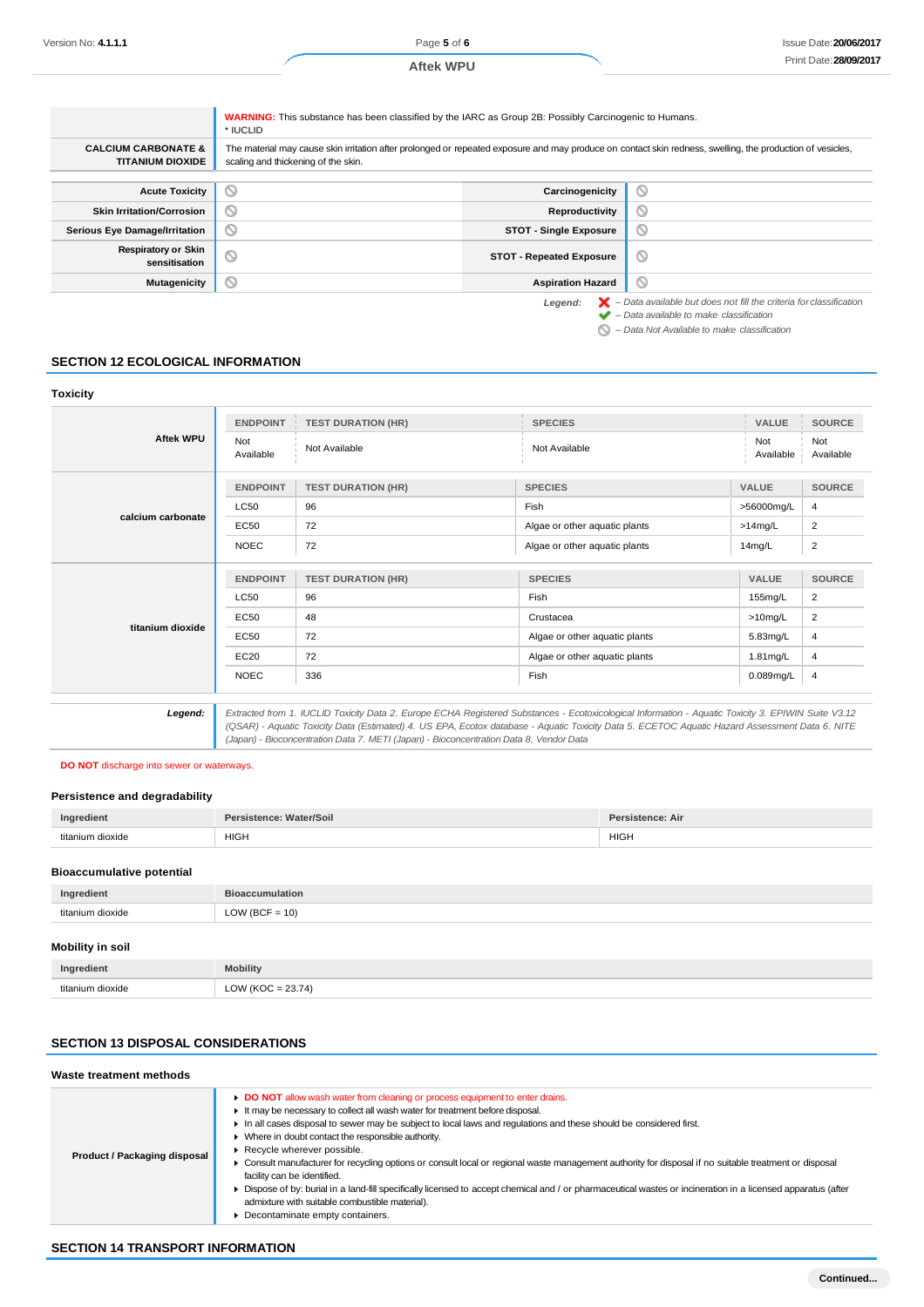**Aftek WPU**

|                                                           | <b>WARNING:</b> This substance has been classified by the IARC as Group 2B: Possibly Carcinogenic to Humans.<br>* IUCLID                                                                          |                                  |                                                                                                                                     |
|-----------------------------------------------------------|---------------------------------------------------------------------------------------------------------------------------------------------------------------------------------------------------|----------------------------------|-------------------------------------------------------------------------------------------------------------------------------------|
| <b>CALCIUM CARBONATE &amp;</b><br><b>TITANIUM DIOXIDE</b> | The material may cause skin irritation after prolonged or repeated exposure and may produce on contact skin redness, swelling, the production of vesicles,<br>scaling and thickening of the skin. |                                  |                                                                                                                                     |
| <b>Acute Toxicity</b>                                     | $\circ$                                                                                                                                                                                           | Carcinogenicity                  | $\infty$                                                                                                                            |
| <b>Skin Irritation/Corrosion</b>                          | $\circ$                                                                                                                                                                                           | Reproductivity                   | $\scriptstyle\sim$                                                                                                                  |
| <b>Serious Eye Damage/Irritation</b>                      | O                                                                                                                                                                                                 | <b>STOT - Single Exposure</b>    | $\circ$                                                                                                                             |
| <b>Respiratory or Skin</b><br>sensitisation               | $\circlearrowright$                                                                                                                                                                               | <b>STOT - Repeated Exposure</b>  | $\circ$                                                                                                                             |
| Mutagenicity                                              | O                                                                                                                                                                                                 | <b>Aspiration Hazard</b>         | Ø                                                                                                                                   |
|                                                           |                                                                                                                                                                                                   | Legend:<br>$\tilde{\phantom{a}}$ | $\blacktriangleright$ - Data available but does not fill the criteria for classification<br>- Data available to make classification |

*– Data Not Available to make classification*

### **SECTION 12 ECOLOGICAL INFORMATION**

| <b>Toxicity</b>   |                  |                           |                               |                  |                  |
|-------------------|------------------|---------------------------|-------------------------------|------------------|------------------|
| <b>Aftek WPU</b>  | <b>ENDPOINT</b>  | <b>TEST DURATION (HR)</b> | <b>SPECIES</b>                | VALUE            | <b>SOURCE</b>    |
|                   | Not<br>Available | Not Available             | Not Available                 | Not<br>Available | Not<br>Available |
|                   | <b>ENDPOINT</b>  | <b>TEST DURATION (HR)</b> | <b>SPECIES</b>                | <b>VALUE</b>     | <b>SOURCE</b>    |
|                   | LC50             | 96                        | Fish                          | >56000mg/L       | 4                |
| calcium carbonate | <b>EC50</b>      | 72                        | Algae or other aquatic plants | $>14$ mg/L       | 2                |
|                   | <b>NOEC</b>      | 72                        | Algae or other aquatic plants | 14mg/L           | $\overline{2}$   |
|                   | <b>ENDPOINT</b>  | <b>TEST DURATION (HR)</b> | <b>SPECIES</b>                | <b>VALUE</b>     | <b>SOURCE</b>    |
|                   | LC50             | 96                        | Fish                          | 155mg/L          | $\overline{2}$   |
|                   | <b>EC50</b>      | 48                        | Crustacea                     | $>10$ mg/L       |                  |
| titanium dioxide  | <b>EC50</b>      | 72                        | Algae or other aquatic plants | 5.83mg/L         |                  |
|                   | EC20             | 72                        | Algae or other aquatic plants | $1.81$ mg/L      | $\overline{4}$   |
|                   | <b>NOEC</b>      | 336                       | Fish                          | 0.089mg/L        | $\overline{4}$   |
|                   |                  |                           |                               |                  |                  |

*Legend: Extracted from 1. IUCLID Toxicity Data 2. Europe ECHA Registered Substances - Ecotoxicological Information - Aquatic Toxicity 3. EPIWIN Suite V3.12 (QSAR) - Aquatic Toxicity Data (Estimated) 4. US EPA, Ecotox database - Aquatic Toxicity Data 5. ECETOC Aquatic Hazard Assessment Data 6. NITE (Japan) - Bioconcentration Data 7. METI (Japan) - Bioconcentration Data 8. Vendor Data*

#### **DO NOT** discharge into sewer or waterways.

#### **Persistence and degradability**

| Ingredient               | Water/Soil<br>Dor<br>,,,,,,,,,,,,<br>- 61 | Dor.<br>sistence: Air |
|--------------------------|-------------------------------------------|-----------------------|
| tita<br>dioxide<br>II IM | <b>HIGH</b>                               | <b>HIGH</b>           |

### **Bioaccumulative potential**

| Ingredient       | <b>Bioaccumulation</b> |
|------------------|------------------------|
| titanium dioxide | $LOW (BCF = 10)$       |
|                  |                        |

# **Mobility in soil**

| Inc | bility |
|-----|--------|
| .   |        |

# **SECTION 13 DISPOSAL CONSIDERATIONS**

### **Waste treatment methods**

| Product / Packaging disposal | DO NOT allow wash water from cleaning or process equipment to enter drains.<br>It may be necessary to collect all wash water for treatment before disposal.<br>In all cases disposal to sewer may be subject to local laws and regulations and these should be considered first.<br>• Where in doubt contact the responsible authority.<br>Recycle wherever possible.<br>▶ Consult manufacturer for recycling options or consult local or regional waste management authority for disposal if no suitable treatment or disposal<br>facility can be identified.<br>• Dispose of by: burial in a land-fill specifically licensed to accept chemical and / or pharmaceutical wastes or incineration in a licensed apparatus (after<br>admixture with suitable combustible material).<br>Decontaminate empty containers. |
|------------------------------|----------------------------------------------------------------------------------------------------------------------------------------------------------------------------------------------------------------------------------------------------------------------------------------------------------------------------------------------------------------------------------------------------------------------------------------------------------------------------------------------------------------------------------------------------------------------------------------------------------------------------------------------------------------------------------------------------------------------------------------------------------------------------------------------------------------------|